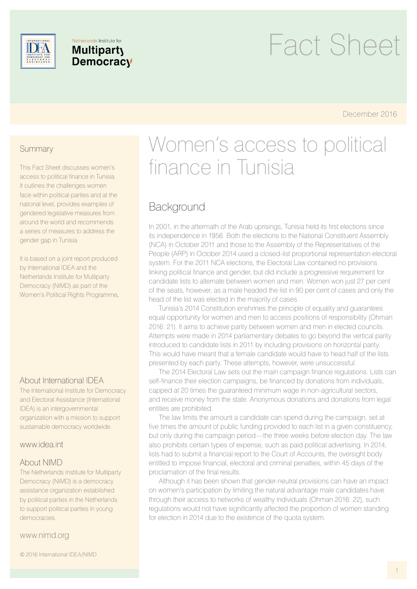

#### Netherlands Institute for **Multiparty** Democracy

# Fact Sheet

December 2016

#### **Summary**

This Fact Sheet discusses women's access to political finance in Tunisia. It outlines the challenges women face within political parties and at the national level, provides examples of gendered legislative measures from around the world and recommends a series of measures to address the gender gap in Tunisia.

It is based on a joint report produced by International IDEA and the Netherlands Institute for Multiparty Democracy (NIMD) as part of the Women's Political Rights Programme*.* 

#### About International IDEA

The International Institute for Democracy and Electoral Assistance (International IDEA) is an intergovernmental organization with a mission to support sustainable democracy worldwide.

#### www.idea.int

#### About NIMD

The Netherlands Institute for Multiparty Democracy (NIMD) is a democracy assistance organization established by political parties in the Netherlands to support political parties in young democracies.

www.nimd.org

© 2016 International IDEA/NIMD

# Women's access to political finance in Tunisia

# **Background**

In 2001, in the aftermath of the Arab uprisings, Tunisia held its first elections since its independence in 1956. Both the elections to the National Constituent Assembly (NCA) in October 2011 and those to the Assembly of the Representatives of the People (ARP) in October 2014 used a closed-list proportional representation electoral system. For the 2011 NCA elections, the Electoral Law contained no provisions linking political finance and gender, but did include a progressive requirement for candidate lists to alternate between women and men. Women won just 27 per cent of the seats, however, as a male headed the list in 90 per cent of cases and only the head of the list was elected in the majority of cases.

Tunisia's 2014 Constitution enshrines the principle of equality and guarantees equal opportunity for women and men to access positions of responsibility (Ohman 2016: 21). It aims to achieve parity between women and men in elected councils. Attempts were made in 2014 parliamentary debates to go beyond the vertical parity introduced to candidate lists in 2011 by including provisions on horizontal parity. This would have meant that a female candidate would have to head half of the lists presented by each party. These attempts, however, were unsuccessful.

The 2014 Electoral Law sets out the main campaign finance regulations. Lists can self-finance their election campaigns, be financed by donations from individuals, capped at 20 times the guaranteed minimum wage in non-agricultural sectors, and receive money from the state. Anonymous donations and donations from legal entities are prohibited.

The law limits the amount a candidate can spend during the campaign, set at five times the amount of public funding provided to each list in a given constituency, but only during the campaign period—the three weeks before election day. The law also prohibits certain types of expense, such as paid political advertising. In 2014, lists had to submit a financial report to the Court of Accounts, the oversight body entitled to impose financial, electoral and criminal penalties, within 45 days of the proclamation of the final results.

Although it has been shown that gender-neutral provisions can have an impact on women's participation by limiting the natural advantage male candidates have through their access to networks of wealthy individuals (Ohman 2016: 22), such regulations would not have significantly affected the proportion of women standing for election in 2014 due to the existence of the quota system.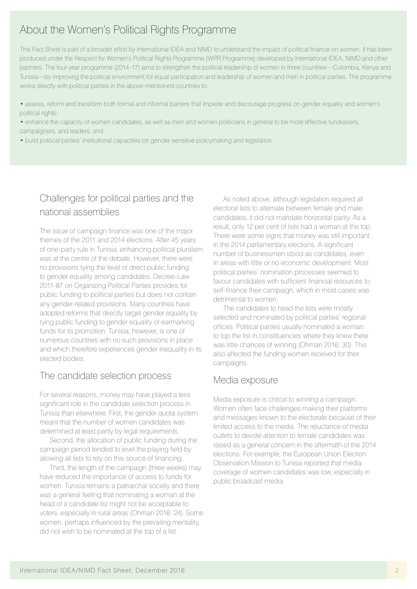# About the Women's Political Rights Programme

This Fact Sheet is part of a broader effort by International IDEA and NIMD to understand the impact of political finance on women. It has been produced under the Respect for Women's Political Rights Programme (WPR Programme) developed by International IDEA, NIMD and other partners. The four-year programme (2014–17) aims to strengthen the political leadership of women in three countries—Colombia, Kenya and Tunisia—by improving the political environment for equal participation and leadership of women and men in political parties. The programme works directly with political parties in the above-mentioned countries to:

- assess, reform and transform both formal and informal barriers that impede and discourage progress on gender equality and women's political rights;
- enhance the capacity of women candidates, as well as men and women politicians in general to be more effective fundraisers, campaigners, and leaders; and
- build political parties' institutional capacities on gender-sensitive policymaking and legislation.

### Challenges for political parties and the national assemblies

The issue of campaign finance was one of the major themes of the 2011 and 2014 elections. After 45 years of one-party rule in Tunisia, enhancing political pluralism was at the centre of the debate. However, there were no provisions tying the level of direct public funding to gender equality among candidates. Decree-Law 2011-87 on Organizing Political Parties provides for public funding to political parties but does not contain any gender-related provisions. Many countries have adopted reforms that directly target gender equality by tying public funding to gender equality or earmarking funds for its promotion. Tunisia, however, is one of numerous countries with no such provisions in place and which therefore experiences gender inequality in its elected bodies.

#### The candidate selection process

For several reasons, money may have played a less significant role in the candidate selection process in Tunisia than elsewhere. First, the gender quota system meant that the number of women candidates was determined at least partly by legal requirements.

Second, the allocation of public funding during the campaign period tended to level the playing field by allowing all lists to rely on this source of financing.

Third, the length of the campaign (three weeks) may have reduced the importance of access to funds for women. Tunisia remains a patriarchal society and there was a general feeling that nominating a woman at the head of a candidate list might not be acceptable to voters, especially in rural areas (Ohman 2016: 24). Some women, perhaps influenced by the prevailing mentality, did not wish to be nominated at the top of a list.

As noted above, although legislation required all electoral lists to alternate between female and male candidates, it did not mandate horizontal parity. As a result, only 12 per cent of lists had a woman at the top. There were some signs that money was still important in the 2014 parliamentary elections. A significant number of businessmen stood as candidates, even in areas with little or no economic development. Most political parties' nomination processes seemed to favour candidates with sufficient financial resources to self-finance their campaign, which in most cases was detrimental to women.

The candidates to head the lists were mostly selected and nominated by political parties' regional offices. Political parties usually nominated a woman to top the list in constituencies where they knew there was little chances of winning (Ohman 2016: 30). This also affected the funding women received for their campaigns.

#### Media exposure

Media exposure is critical to winning a campaign. Women often face challenges making their platforms and messages known to the electorate because of their limited access to the media. The reluctance of media outlets to devote attention to female candidates was raised as a general concern in the aftermath of the 2014 elections. For example, the European Union Election Observation Mission to Tunisia reported that media coverage of women candidates was low, especially in public broadcast media.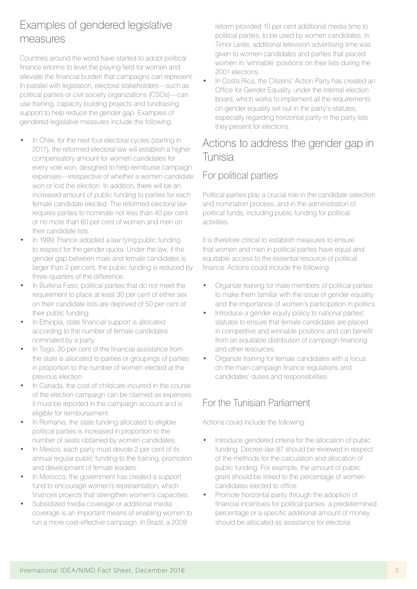# Examples of gendered legislative measures

Countries around the world have started to adopt political finance reforms to level the playing field for women and alleviate the financial burden that campaigns can represent. In parallel with legislation, electoral stakeholders—such as political parties or civil society organizations (CSOs)—can use training, capacity building projects and fundraising support to help reduce the gender gap. Examples of gendered legislative measures include the following:

- In Chile, for the next four electoral cycles (starting in 2017), the reformed electoral law will establish a higher compensatory amount for women candidates for every vote won, designed to help reimburse campaign expenses—irrespective of whether a women candidate won or lost the election. In addition, there will be an increased amount of public funding to parties for each female candidate elected. The reformed electoral law requires parties to nominate not less than 40 per cent or no more than 60 per cent of women and men on their candidate lists.
- In 1999, France adopted a law tying public funding to respect for the gender quota. Under the law, if the gender gap between male and female candidates is larger than 2 per cent, the public funding is reduced by three-quarters of the difference.
- In Burkina Faso, political parties that do not meet the requirement to place at least 30 per cent of either sex on their candidate lists are deprived of 50 per cent of their public funding.
- In Ethiopia, state financial support is allocated according to the number of female candidates nominated by a party.
- In Togo, 20 per cent of the financial assistance from the state is allocated to parties or groupings of parties in proportion to the number of women elected at the previous election.
- In Canada, the cost of childcare incurred in the course of the election campaign can be claimed as expenses. It must be reported in the campaign account and is eligible for reimbursement.
- In Romania, the state funding allocated to eligible political parties is increased in proportion to the number of seats obtained by women candidates.
- In Mexico, each party must devote 2 per cent of its annual regular public funding to the training, promotion and development of female leaders.
- In Morocco, the government has created a support fund to encourage women's representation, which finances projects that strengthen women's capacities.
- Subsidized media coverage or additional media coverage is an important means of enabling women to run a more cost-effective campaign. In Brazil, a 2009

reform provided 10 per cent additional media time to political parties, to be used by women candidates. In Timor Leste, additional television advertising time was given to women candidates and parties that placed women in 'winnable' positions on their lists during the 2001 elections.

• In Costa Rica, the Citizens' Action Party has created an Office for Gender Equality, under the internal election board, which works to implement all the requirements on gender equality set out in the party's statutes, especially regarding horizontal parity in the party lists they present for elections.

# Actions to address the gender gap in Tunisia

# For political parties

Political parties play a crucial role in the candidate selection and nomination process, and in the administration of political funds, including public funding for political activities.

It is therefore critical to establish measures to ensure that women and men in political parties have equal and equitable access to the essential resource of political finance. Actions could include the following:

- Organize training for male members of political parties to make them familiar with the issue of gender equality and the importance of women's participation in politics.
- Introduce a gender equity policy to national parties' statutes to ensure that female candidates are placed in competitive and winnable positions and can benefit from an equitable distribution of campaign financing and other resources.
- Organize training for female candidates with a focus on the main campaign finance regulations and candidates' duties and responsibilities.

# For the Tunisian Parliament

Actions could include the following:

- Introduce gendered criteria for the allocation of public funding. Decree-law 87 should be reviewed in respect of the methods for the calculation and allocation of public funding. For example, the amount of public grant should be linked to the percentage of women candidates elected to office.
- Promote horizontal parity through the adoption of financial incentives for political parties: a predetermined percentage or a specific additional amount of money should be allocated as assistance for electoral